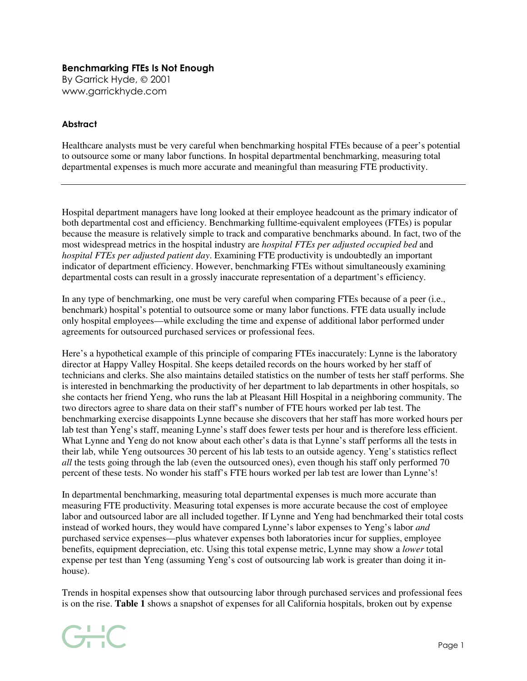## Benchmarking FTEs Is Not Enough

By Garrick Hyde, © 2001 www.garrickhyde.com

## **Abstract**

Healthcare analysts must be very careful when benchmarking hospital FTEs because of a peer's potential to outsource some or many labor functions. In hospital departmental benchmarking, measuring total departmental expenses is much more accurate and meaningful than measuring FTE productivity.

Hospital department managers have long looked at their employee headcount as the primary indicator of both departmental cost and efficiency. Benchmarking fulltime-equivalent employees (FTEs) is popular because the measure is relatively simple to track and comparative benchmarks abound. In fact, two of the most widespread metrics in the hospital industry are *hospital FTEs per adjusted occupied bed* and *hospital FTEs per adjusted patient day*. Examining FTE productivity is undoubtedly an important indicator of department efficiency. However, benchmarking FTEs without simultaneously examining departmental costs can result in a grossly inaccurate representation of a department's efficiency.

In any type of benchmarking, one must be very careful when comparing FTEs because of a peer (i.e., benchmark) hospital's potential to outsource some or many labor functions. FTE data usually include only hospital employees—while excluding the time and expense of additional labor performed under agreements for outsourced purchased services or professional fees.

Here's a hypothetical example of this principle of comparing FTEs inaccurately: Lynne is the laboratory director at Happy Valley Hospital. She keeps detailed records on the hours worked by her staff of technicians and clerks. She also maintains detailed statistics on the number of tests her staff performs. She is interested in benchmarking the productivity of her department to lab departments in other hospitals, so she contacts her friend Yeng, who runs the lab at Pleasant Hill Hospital in a neighboring community. The two directors agree to share data on their staff's number of FTE hours worked per lab test. The benchmarking exercise disappoints Lynne because she discovers that her staff has more worked hours per lab test than Yeng's staff, meaning Lynne's staff does fewer tests per hour and is therefore less efficient. What Lynne and Yeng do not know about each other's data is that Lynne's staff performs all the tests in their lab, while Yeng outsources 30 percent of his lab tests to an outside agency. Yeng's statistics reflect *all* the tests going through the lab (even the outsourced ones), even though his staff only performed 70 percent of these tests. No wonder his staff's FTE hours worked per lab test are lower than Lynne's!

In departmental benchmarking, measuring total departmental expenses is much more accurate than measuring FTE productivity. Measuring total expenses is more accurate because the cost of employee labor and outsourced labor are all included together. If Lynne and Yeng had benchmarked their total costs instead of worked hours, they would have compared Lynne's labor expenses to Yeng's labor *and* purchased service expenses—plus whatever expenses both laboratories incur for supplies, employee benefits, equipment depreciation, etc. Using this total expense metric, Lynne may show a *lower* total expense per test than Yeng (assuming Yeng's cost of outsourcing lab work is greater than doing it inhouse).

Trends in hospital expenses show that outsourcing labor through purchased services and professional fees is on the rise. **Table 1** shows a snapshot of expenses for all California hospitals, broken out by expense

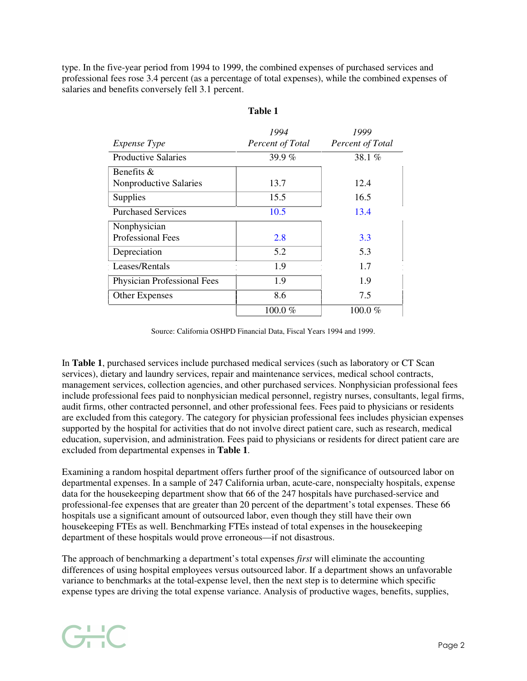type. In the five-year period from 1994 to 1999, the combined expenses of purchased services and professional fees rose 3.4 percent (as a percentage of total expenses), while the combined expenses of salaries and benefits conversely fell 3.1 percent.

|                                    | 1994             | 1999             |
|------------------------------------|------------------|------------------|
| <i>Expense Type</i>                | Percent of Total | Percent of Total |
| <b>Productive Salaries</b>         | 39.9 $%$         | 38.1 $%$         |
| Benefits $\&$                      |                  |                  |
| Nonproductive Salaries             | 13.7             | 12.4             |
| Supplies                           | 15.5             | 16.5             |
| <b>Purchased Services</b>          | 10.5             | 13.4             |
| Nonphysician                       |                  |                  |
| <b>Professional Fees</b>           | 2.8              | 3.3              |
| Depreciation                       | 5.2              | 5.3              |
| Leases/Rentals                     | 1.9              | 1.7              |
| <b>Physician Professional Fees</b> | 1.9              | 1.9              |
| <b>Other Expenses</b>              | 8.6              | 7.5              |
|                                    | 100.0 $%$        | $100.0\ \%$      |

## **Table 1**

Source: California OSHPD Financial Data, Fiscal Years 1994 and 1999.

In **Table 1**, purchased services include purchased medical services (such as laboratory or CT Scan services), dietary and laundry services, repair and maintenance services, medical school contracts, management services, collection agencies, and other purchased services. Nonphysician professional fees include professional fees paid to nonphysician medical personnel, registry nurses, consultants, legal firms, audit firms, other contracted personnel, and other professional fees. Fees paid to physicians or residents are excluded from this category. The category for physician professional fees includes physician expenses supported by the hospital for activities that do not involve direct patient care, such as research, medical education, supervision, and administration. Fees paid to physicians or residents for direct patient care are excluded from departmental expenses in **Table 1**.

Examining a random hospital department offers further proof of the significance of outsourced labor on departmental expenses. In a sample of 247 California urban, acute-care, nonspecialty hospitals, expense data for the housekeeping department show that 66 of the 247 hospitals have purchased-service and professional-fee expenses that are greater than 20 percent of the department's total expenses. These 66 hospitals use a significant amount of outsourced labor, even though they still have their own housekeeping FTEs as well. Benchmarking FTEs instead of total expenses in the housekeeping department of these hospitals would prove erroneous—if not disastrous.

The approach of benchmarking a department's total expenses *first* will eliminate the accounting differences of using hospital employees versus outsourced labor. If a department shows an unfavorable variance to benchmarks at the total-expense level, then the next step is to determine which specific expense types are driving the total expense variance. Analysis of productive wages, benefits, supplies,